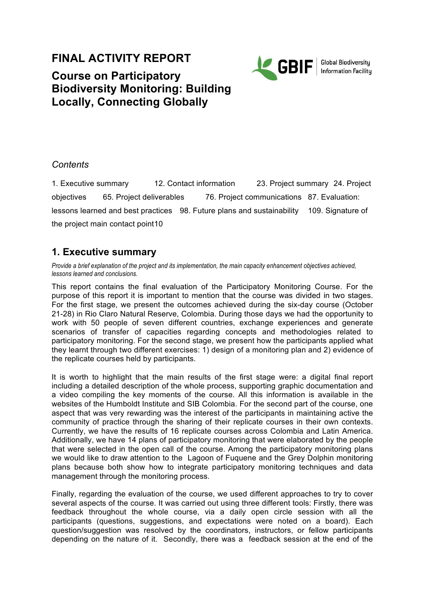# **FINAL ACTIVITY REPORT**



**Global Biodiversity Information Facility** 

# **Course on Participatory Biodiversity Monitoring: Building Locally, Connecting Globally**

### *Contents*

1. Executive summary 12. Contact information 23. Project summary 24. Project objectives 65. Project deliverables 76. Project communications 87. Evaluation: lessons learned and best practices 98. Future plans and sustainability 109. Signature of the project main contact point10

# **1. Executive summary**

*Provide a brief explanation of the project and its implementation, the main capacity enhancement objectives achieved, lessons learned and conclusions.* 

This report contains the final evaluation of the Participatory Monitoring Course. For the purpose of this report it is important to mention that the course was divided in two stages. For the first stage, we present the outcomes achieved during the six-day course (October 21-28) in Rio Claro Natural Reserve, Colombia. During those days we had the opportunity to work with 50 people of seven different countries, exchange experiences and generate scenarios of transfer of capacities regarding concepts and methodologies related to participatory monitoring. For the second stage, we present how the participants applied what they learnt through two different exercises: 1) design of a monitoring plan and 2) evidence of the replicate courses held by participants.

It is worth to highlight that the main results of the first stage were: a digital final report including a detailed description of the whole process, supporting graphic documentation and a video compiling the key moments of the course. All this information is available in the websites of the Humboldt Institute and SIB Colombia. For the second part of the course, one aspect that was very rewarding was the interest of the participants in maintaining active the community of practice through the sharing of their replicate courses in their own contexts. Currently, we have the results of 16 replicate courses across Colombia and Latin America. Additionally, we have 14 plans of participatory monitoring that were elaborated by the people that were selected in the open call of the course. Among the participatory monitoring plans we would like to draw attention to the Lagoon of Fuquene and the Grey Dolphin monitoring plans because both show how to integrate participatory monitoring techniques and data management through the monitoring process.

Finally, regarding the evaluation of the course, we used different approaches to try to cover several aspects of the course. It was carried out using three different tools: Firstly, there was feedback throughout the whole course, via a daily open circle session with all the participants (questions, suggestions, and expectations were noted on a board). Each question/suggestion was resolved by the coordinators, instructors, or fellow participants depending on the nature of it. Secondly, there was a feedback session at the end of the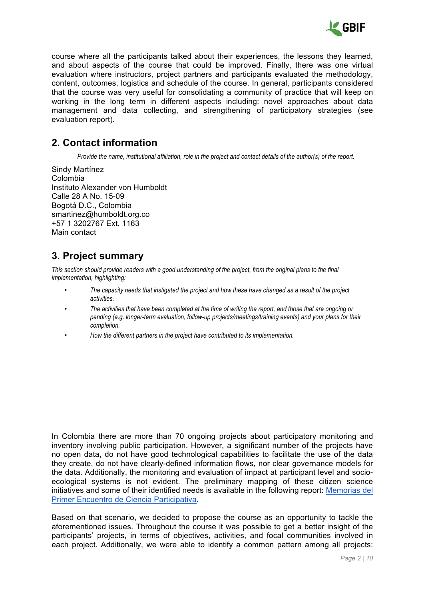

course where all the participants talked about their experiences, the lessons they learned, and about aspects of the course that could be improved. Finally, there was one virtual evaluation where instructors, project partners and participants evaluated the methodology, content, outcomes, logistics and schedule of the course. In general, participants considered that the course was very useful for consolidating a community of practice that will keep on working in the long term in different aspects including: novel approaches about data management and data collecting, and strengthening of participatory strategies (see evaluation report).

## **2. Contact information**

*Provide the name, institutional affiliation, role in the project and contact details of the author(s) of the report.* 

Sindy Martínez Colombia Instituto Alexander von Humboldt Calle 28 A No. 15-09 Bogotá D.C., Colombia smartinez@humboldt.org.co +57 1 3202767 Ext. 1163 Main contact

# **3. Project summary**

*This section should provide readers with a good understanding of the project, from the original plans to the final implementation, highlighting:* 

- *The capacity needs that instigated the project and how these have changed as a result of the project activities.*
- *The activities that have been completed at the time of writing the report, and those that are ongoing or pending (e.g. longer-term evaluation, follow-up projects/meetings/training events) and your plans for their completion.*
- *How the different partners in the project have contributed to its implementation.*

In Colombia there are more than 70 ongoing projects about participatory monitoring and inventory involving public participation. However, a significant number of the projects have no open data, do not have good technological capabilities to facilitate the use of the data they create, do not have clearly-defined information flows, nor clear governance models for the data. Additionally, the monitoring and evaluation of impact at participant level and socioecological systems is not evident. The preliminary mapping of these citizen science initiatives and some of their identified needs is available in the following report: Memorias del Primer Encuentro de Ciencia Participativa.

Based on that scenario, we decided to propose the course as an opportunity to tackle the aforementioned issues. Throughout the course it was possible to get a better insight of the participants' projects, in terms of objectives, activities, and focal communities involved in each project. Additionally, we were able to identify a common pattern among all projects: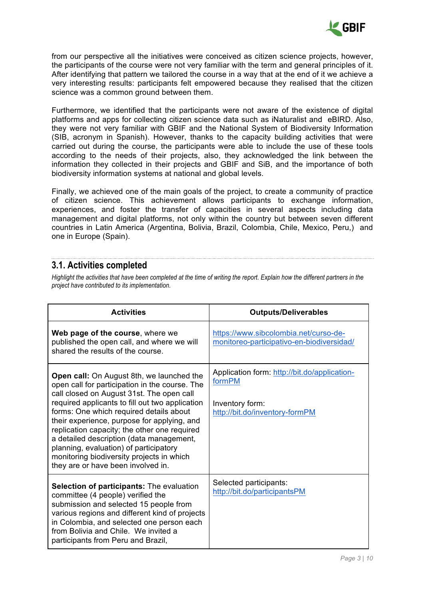

from our perspective all the initiatives were conceived as citizen science projects, however, the participants of the course were not very familiar with the term and general principles of it. After identifying that pattern we tailored the course in a way that at the end of it we achieve a very interesting results: participants felt empowered because they realised that the citizen science was a common ground between them.

Furthermore, we identified that the participants were not aware of the existence of digital platforms and apps for collecting citizen science data such as iNaturalist and eBIRD. Also, they were not very familiar with GBIF and the National System of Biodiversity Information (SIB, acronym in Spanish). However, thanks to the capacity building activities that were carried out during the course, the participants were able to include the use of these tools according to the needs of their projects, also, they acknowledged the link between the information they collected in their projects and GBIF and SiB, and the importance of both biodiversity information systems at national and global levels.

Finally, we achieved one of the main goals of the project, to create a community of practice of citizen science. This achievement allows participants to exchange information, experiences, and foster the transfer of capacities in several aspects including data management and digital platforms, not only within the country but between seven different countries in Latin America (Argentina, Bolivia, Brazil, Colombia, Chile, Mexico, Peru,) and one in Europe (Spain).

### **3.1. Activities completed**

*Highlight the activities that have been completed at the time of writing the report. Explain how the different partners in the project have contributed to its implementation.* 

| <b>Activities</b>                                                                                                                                                                                                                                                                                                                                                                                                                                                                                              | <b>Outputs/Deliverables</b>                                                                                 |
|----------------------------------------------------------------------------------------------------------------------------------------------------------------------------------------------------------------------------------------------------------------------------------------------------------------------------------------------------------------------------------------------------------------------------------------------------------------------------------------------------------------|-------------------------------------------------------------------------------------------------------------|
| Web page of the course, where we<br>published the open call, and where we will<br>shared the results of the course.                                                                                                                                                                                                                                                                                                                                                                                            | https://www.sibcolombia.net/curso-de-<br>monitoreo-participativo-en-biodiversidad/                          |
| Open call: On August 8th, we launched the<br>open call for participation in the course. The<br>call closed on August 31st. The open call<br>required applicants to fill out two application<br>forms: One which required details about<br>their experience, purpose for applying, and<br>replication capacity; the other one required<br>a detailed description (data management,<br>planning, evaluation) of participatory<br>monitoring biodiversity projects in which<br>they are or have been involved in. | Application form: http://bit.do/application-<br>formPM<br>Inventory form:<br>http://bit.do/inventory-formPM |
| Selection of participants: The evaluation<br>committee (4 people) verified the<br>submission and selected 15 people from<br>various regions and different kind of projects<br>in Colombia, and selected one person each<br>from Bolivia and Chile. We invited a<br>participants from Peru and Brazil,                                                                                                                                                                                                          | Selected participants:<br>http://bit.do/participantsPM                                                      |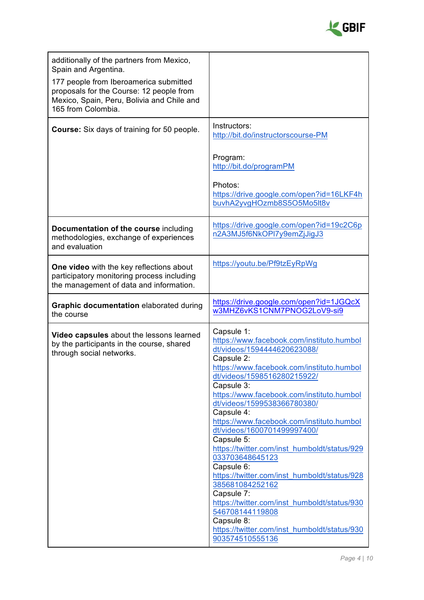

| additionally of the partners from Mexico,<br>Spain and Argentina.<br>177 people from Iberoamerica submitted<br>proposals for the Course: 12 people from<br>Mexico, Spain, Peru, Bolivia and Chile and<br>165 from Colombia. |                                                                                                                                                                                                                                                                                                                                                                                                                                                                                                                                                                                                                                                                                                          |  |
|-----------------------------------------------------------------------------------------------------------------------------------------------------------------------------------------------------------------------------|----------------------------------------------------------------------------------------------------------------------------------------------------------------------------------------------------------------------------------------------------------------------------------------------------------------------------------------------------------------------------------------------------------------------------------------------------------------------------------------------------------------------------------------------------------------------------------------------------------------------------------------------------------------------------------------------------------|--|
| Course: Six days of training for 50 people.                                                                                                                                                                                 | Instructors:<br>http://bit.do/instructorscourse-PM<br>Program:<br>http://bit.do/programPM<br>Photos:<br>https://drive.google.com/open?id=16LKF4h<br>buvhA2yvgHOzmb8S5O5Mo5lt8v                                                                                                                                                                                                                                                                                                                                                                                                                                                                                                                           |  |
| Documentation of the course including<br>methodologies, exchange of experiences<br>and evaluation                                                                                                                           | https://drive.google.com/open?id=19c2C6p<br>n2A3MJ5f6NkOPI7y9emZjJigJ3                                                                                                                                                                                                                                                                                                                                                                                                                                                                                                                                                                                                                                   |  |
| One video with the key reflections about<br>participatory monitoring process including<br>the management of data and information.                                                                                           | https://youtu.be/Pf9tzEyRpWg                                                                                                                                                                                                                                                                                                                                                                                                                                                                                                                                                                                                                                                                             |  |
| <b>Graphic documentation elaborated during</b><br>the course                                                                                                                                                                | https://drive.google.com/open?id=1JGQcX<br>w3MHZ6vKS1CNM7PNOG2LoV9-si9                                                                                                                                                                                                                                                                                                                                                                                                                                                                                                                                                                                                                                   |  |
| Video capsules about the lessons learned<br>by the participants in the course, shared<br>through social networks.                                                                                                           | Capsule 1:<br>https://www.facebook.com/instituto.humbol<br>dt/videos/1594444620623088/<br>Capsule 2:<br>https://www.facebook.com/instituto.humbol<br>dt/videos/1598516280215922/<br>Capsule 3:<br>https://www.facebook.com/instituto.humbol<br>dt/videos/1599538366780380/<br>Capsule 4:<br>https://www.facebook.com/instituto.humbol<br>dt/videos/1600701499997400/<br>Capsule 5:<br>https://twitter.com/inst_humboldt/status/929<br>033703648645123<br>Capsule 6:<br>https://twitter.com/inst_humboldt/status/928<br>385681084252162<br>Capsule 7:<br>https://twitter.com/inst_humboldt/status/930<br>546708144119808<br>Capsule 8:<br>https://twitter.com/inst_humboldt/status/930<br>903574510555136 |  |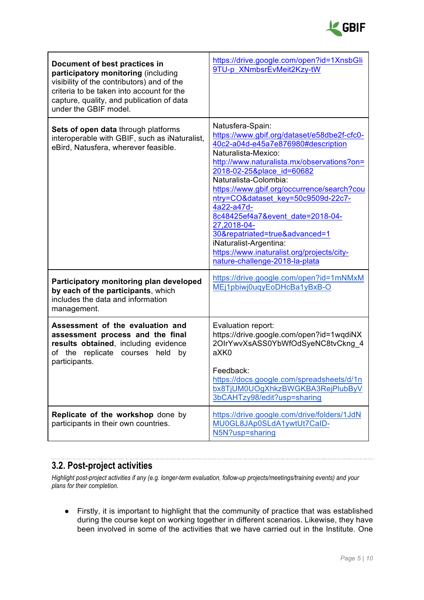

| Document of best practices in<br>participatory monitoring (including<br>visibility of the contributors) and of the<br>criteria to be taken into account for the<br>capture, quality, and publication of data<br>under the GBIF model. | https://drive.google.com/open?id=1XnsbGli<br>9TU-p XNmbsrEvMeit2Kzy-tW                                                                                                                                                                                                                                                                                                                                                                                                                                                            |  |
|---------------------------------------------------------------------------------------------------------------------------------------------------------------------------------------------------------------------------------------|-----------------------------------------------------------------------------------------------------------------------------------------------------------------------------------------------------------------------------------------------------------------------------------------------------------------------------------------------------------------------------------------------------------------------------------------------------------------------------------------------------------------------------------|--|
| Sets of open data through platforms<br>interoperable with GBIF, such as iNaturalist,<br>eBird, Natusfera, wherever feasible.                                                                                                          | Natusfera-Spain:<br>https://www.gbif.org/dataset/e58dbe2f-cfc0-<br>40c2-a04d-e45a7e876980#description<br>Naturalista-Mexico:<br>http://www.naturalista.mx/observations?on=<br>2018-02-25&place id=60682<br>Naturalista-Colombia:<br>https://www.gbif.org/occurrence/search?cou<br>ntry=CO&dataset_key=50c9509d-22c7-<br>4a22-a47d-<br>8c48425ef4a7&event date=2018-04-<br>27,2018-04-<br>30&repatriated=true&advanced=1<br>iNaturalist-Argentina:<br>https://www.inaturalist.org/projects/city-<br>nature-challenge-2018-la-plata |  |
| Participatory monitoring plan developed<br>by each of the participants, which<br>includes the data and information<br>management.                                                                                                     | https://drive.google.com/open?id=1mNMxM<br>MEj1pbiwj0uqyEoDHcBa1yBxB-O                                                                                                                                                                                                                                                                                                                                                                                                                                                            |  |
| Assessment of the evaluation and<br>assessment process and the final<br>results obtained, including evidence<br>of the replicate courses<br>held<br>by<br>participants.                                                               | Evaluation report:<br>https://drive.google.com/open?id=1wqdiNX<br>2OIrYwvXsASS0YbWfOdSyeNC8tvCkng 4<br>aXK0<br>Feedback:<br>https://docs.google.com/spreadsheets/d/1n<br>bx8TjUM0UOgXhkzBWGKBA3RejPlubByV<br>3bCAHTzy98/edit?usp=sharing                                                                                                                                                                                                                                                                                          |  |
| Replicate of the workshop done by<br>participants in their own countries.                                                                                                                                                             | https://drive.google.com/drive/folders/1JdN<br>MU0GL8JAp0SLdA1ywtUt7CaID-<br>N5N?usp=sharing                                                                                                                                                                                                                                                                                                                                                                                                                                      |  |

#### **3.2. Post-project activities**

*Highlight post-project activities if any (e.g. longer-term evaluation, follow-up projects/meetings/training events) and your plans for their completion.* 

● Firstly, it is important to highlight that the community of practice that was established during the course kept on working together in different scenarios. Likewise, they have been involved in some of the activities that we have carried out in the Institute. One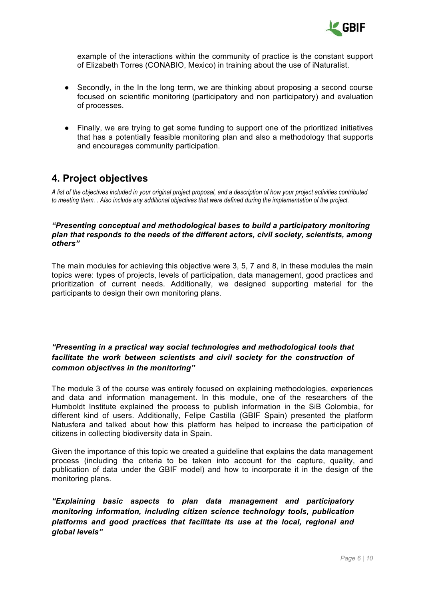

example of the interactions within the community of practice is the constant support of Elizabeth Torres (CONABIO, Mexico) in training about the use of iNaturalist.

- Secondly, in the In the long term, we are thinking about proposing a second course focused on scientific monitoring (participatory and non participatory) and evaluation of processes.
- Finally, we are trying to get some funding to support one of the prioritized initiatives that has a potentially feasible monitoring plan and also a methodology that supports and encourages community participation.

### **4. Project objectives**

*A list of the objectives included in your original project proposal, and a description of how your project activities contributed to meeting them. . Also include any additional objectives that were defined during the implementation of the project.* 

### *"Presenting conceptual and methodological bases to build a participatory monitoring plan that responds to the needs of the different actors, civil society, scientists, among others"*

The main modules for achieving this objective were 3, 5, 7 and 8, in these modules the main topics were: types of projects, levels of participation, data management, good practices and prioritization of current needs. Additionally, we designed supporting material for the participants to design their own monitoring plans.

### *"Presenting in a practical way social technologies and methodological tools that facilitate the work between scientists and civil society for the construction of common objectives in the monitoring"*

The module 3 of the course was entirely focused on explaining methodologies, experiences and data and information management. In this module, one of the researchers of the Humboldt Institute explained the process to publish information in the SiB Colombia, for different kind of users. Additionally, Felipe Castilla (GBIF Spain) presented the platform Natusfera and talked about how this platform has helped to increase the participation of citizens in collecting biodiversity data in Spain.

Given the importance of this topic we created a guideline that explains the data management process (including the criteria to be taken into account for the capture, quality, and publication of data under the GBIF model) and how to incorporate it in the design of the monitoring plans.

*"Explaining basic aspects to plan data management and participatory monitoring information, including citizen science technology tools, publication platforms and good practices that facilitate its use at the local, regional and global levels"*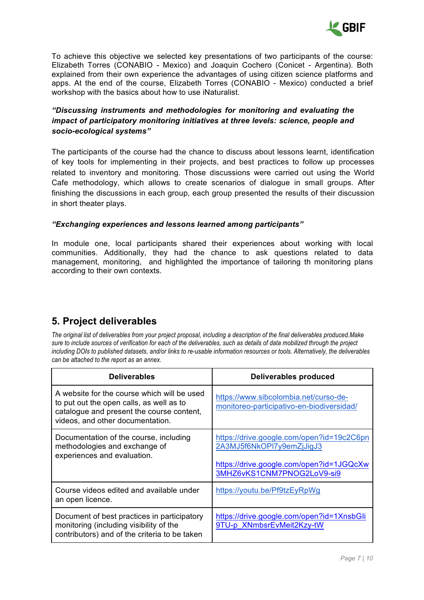

To achieve this objective we selected key presentations of two participants of the course: Elizabeth Torres (CONABIO - Mexico) and Joaquin Cochero (Conicet - Argentina). Both explained from their own experience the advantages of using citizen science platforms and apps. At the end of the course, Elizabeth Torres (CONABIO - Mexico) conducted a brief workshop with the basics about how to use iNaturalist.

### *"Discussing instruments and methodologies for monitoring and evaluating the impact of participatory monitoring initiatives at three levels: science, people and socio-ecological systems"*

The participants of the course had the chance to discuss about lessons learnt, identification of key tools for implementing in their projects, and best practices to follow up processes related to inventory and monitoring. Those discussions were carried out using the World Cafe methodology, which allows to create scenarios of dialogue in small groups. After finishing the discussions in each group, each group presented the results of their discussion in short theater plays.

### *"Exchanging experiences and lessons learned among participants"*

In module one, local participants shared their experiences about working with local communities. Additionally, they had the chance to ask questions related to data management, monitoring, and highlighted the importance of tailoring th monitoring plans according to their own contexts.

# **5. Project deliverables**

*The original list of deliverables from your project proposal, including a description of the final deliverables produced.Make sure to include sources of verification for each of the deliverables, such as details of data mobilized through the project including DOIs to published datasets, and/or links to re-usable information resources or tools. Alternatively, the deliverables can be attached to the report as an annex.*

| <b>Deliverables</b>                                                                                                                                                      | <b>Deliverables produced</b>                                                                                                                     |  |
|--------------------------------------------------------------------------------------------------------------------------------------------------------------------------|--------------------------------------------------------------------------------------------------------------------------------------------------|--|
| A website for the course which will be used<br>to put out the open calls, as well as to<br>catalogue and present the course content,<br>videos, and other documentation. | https://www.sibcolombia.net/curso-de-<br>monitoreo-participativo-en-biodiversidad/                                                               |  |
| Documentation of the course, including<br>methodologies and exchange of<br>experiences and evaluation.                                                                   | https://drive.google.com/open?id=19c2C6pn<br>2A3MJ5f6NkOPI7y9emZjJigJ3<br>https://drive.google.com/open?id=1JGQcXw<br>3MHZ6vKS1CNM7PNOG2LoV9-si9 |  |
| Course videos edited and available under<br>an open licence.                                                                                                             | https://youtu.be/Pf9tzEyRpWg                                                                                                                     |  |
| Document of best practices in participatory<br>monitoring (including visibility of the<br>contributors) and of the criteria to be taken                                  | https://drive.google.com/open?id=1XnsbGli<br>9TU-p XNmbsrEvMeit2Kzy-tW                                                                           |  |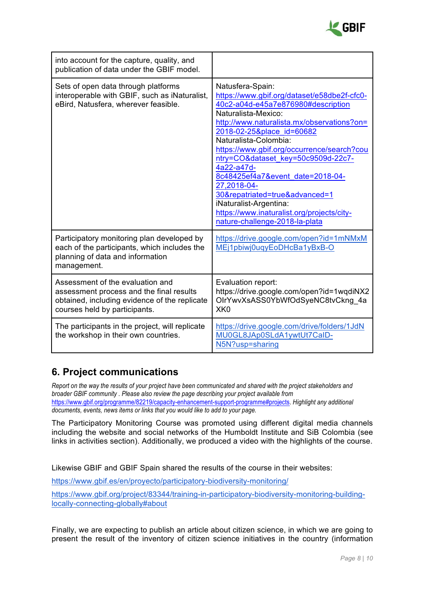

| into account for the capture, quality, and<br>publication of data under the GBIF model.                                                                        |                                                                                                                                                                                                                                                                                                                                                                                                                                                                                                                                   |  |
|----------------------------------------------------------------------------------------------------------------------------------------------------------------|-----------------------------------------------------------------------------------------------------------------------------------------------------------------------------------------------------------------------------------------------------------------------------------------------------------------------------------------------------------------------------------------------------------------------------------------------------------------------------------------------------------------------------------|--|
| Sets of open data through platforms<br>interoperable with GBIF, such as iNaturalist,<br>eBird, Natusfera, wherever feasible.                                   | Natusfera-Spain:<br>https://www.gbif.org/dataset/e58dbe2f-cfc0-<br>40c2-a04d-e45a7e876980#description<br>Naturalista-Mexico:<br>http://www.naturalista.mx/observations?on=<br>2018-02-25&place id=60682<br>Naturalista-Colombia:<br>https://www.gbif.org/occurrence/search?cou<br>ntry=CO&dataset_key=50c9509d-22c7-<br>4a22-a47d-<br>8c48425ef4a7&event date=2018-04-<br>27,2018-04-<br>30&repatriated=true&advanced=1<br>iNaturalist-Argentina:<br>https://www.inaturalist.org/projects/city-<br>nature-challenge-2018-la-plata |  |
| Participatory monitoring plan developed by<br>each of the participants, which includes the<br>planning of data and information<br>management.                  | https://drive.google.com/open?id=1mNMxM<br>MEj1pbiwj0uqyEoDHcBa1yBxB-O                                                                                                                                                                                                                                                                                                                                                                                                                                                            |  |
| Assessment of the evaluation and<br>assessment process and the final results<br>obtained, including evidence of the replicate<br>courses held by participants. | Evaluation report:<br>https://drive.google.com/open?id=1wqdiNX2<br>OlrYwvXsASS0YbWfOdSyeNC8tvCkng 4a<br>XK <sub>0</sub>                                                                                                                                                                                                                                                                                                                                                                                                           |  |
| The participants in the project, will replicate<br>the workshop in their own countries.                                                                        | https://drive.google.com/drive/folders/1JdN<br>MU0GL8JAp0SLdA1ywtUt7CaID-<br>N5N?usp=sharing                                                                                                                                                                                                                                                                                                                                                                                                                                      |  |

### **6. Project communications**

*Report on the way the results of your project have been communicated and shared with the project stakeholders and broader GBIF community . Please also review the page describing your project available from*  https://www.gbif.org/programme/82219/capacity-enhancement-support-programme#projects. *Highlight any additional documents, events, news items or links that you would like to add to your page.* 

The Participatory Monitoring Course was promoted using different digital media channels including the website and social networks of the Humboldt Institute and SiB Colombia (see links in activities section). Additionally, we produced a video with the highlights of the course.

Likewise GBIF and GBIF Spain shared the results of the course in their websites:

https://www.gbif.es/en/proyecto/participatory-biodiversity-monitoring/

https://www.gbif.org/project/83344/training-in-participatory-biodiversity-monitoring-buildinglocally-connecting-globally#about

Finally, we are expecting to publish an article about citizen science, in which we are going to present the result of the inventory of citizen science initiatives in the country (information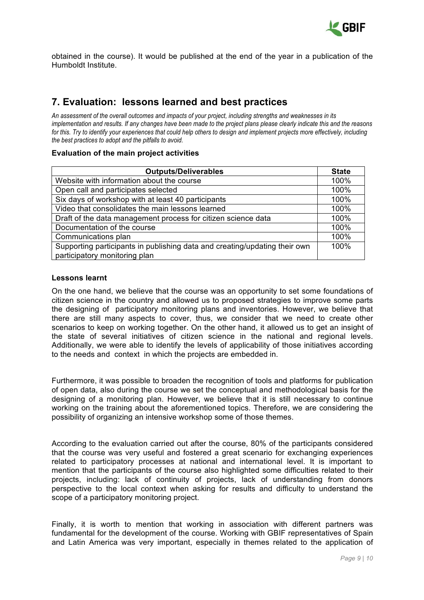

obtained in the course). It would be published at the end of the year in a publication of the Humboldt Institute.

### **7. Evaluation: lessons learned and best practices**

*An assessment of the overall outcomes and impacts of your project, including strengths and weaknesses in its implementation and results. If any changes have been made to the project plans please clearly indicate this and the reasons for this. Try to identify your experiences that could help others to design and implement projects more effectively, including the best practices to adopt and the pitfalls to avoid.*

#### **Evaluation of the main project activities**

| <b>Outputs/Deliverables</b>                                                | <b>State</b> |
|----------------------------------------------------------------------------|--------------|
| Website with information about the course                                  | 100%         |
| Open call and participates selected                                        | 100%         |
| Six days of workshop with at least 40 participants                         | 100%         |
| Video that consolidates the main lessons learned                           | 100%         |
| Draft of the data management process for citizen science data              |              |
| Documentation of the course                                                | 100%         |
| Communications plan                                                        | 100%         |
| Supporting participants in publishing data and creating/updating their own | 100%         |
| participatory monitoring plan                                              |              |

### **Lessons learnt**

On the one hand, we believe that the course was an opportunity to set some foundations of citizen science in the country and allowed us to proposed strategies to improve some parts the designing of participatory monitoring plans and inventories. However, we believe that there are still many aspects to cover, thus, we consider that we need to create other scenarios to keep on working together. On the other hand, it allowed us to get an insight of the state of several initiatives of citizen science in the national and regional levels. Additionally, we were able to identify the levels of applicability of those initiatives according to the needs and context in which the projects are embedded in.

Furthermore, it was possible to broaden the recognition of tools and platforms for publication of open data, also during the course we set the conceptual and methodological basis for the designing of a monitoring plan. However, we believe that it is still necessary to continue working on the training about the aforementioned topics. Therefore, we are considering the possibility of organizing an intensive workshop some of those themes.

According to the evaluation carried out after the course, 80% of the participants considered that the course was very useful and fostered a great scenario for exchanging experiences related to participatory processes at national and international level. It is important to mention that the participants of the course also highlighted some difficulties related to their projects, including: lack of continuity of projects, lack of understanding from donors perspective to the local context when asking for results and difficulty to understand the scope of a participatory monitoring project.

Finally, it is worth to mention that working in association with different partners was fundamental for the development of the course. Working with GBIF representatives of Spain and Latin America was very important, especially in themes related to the application of